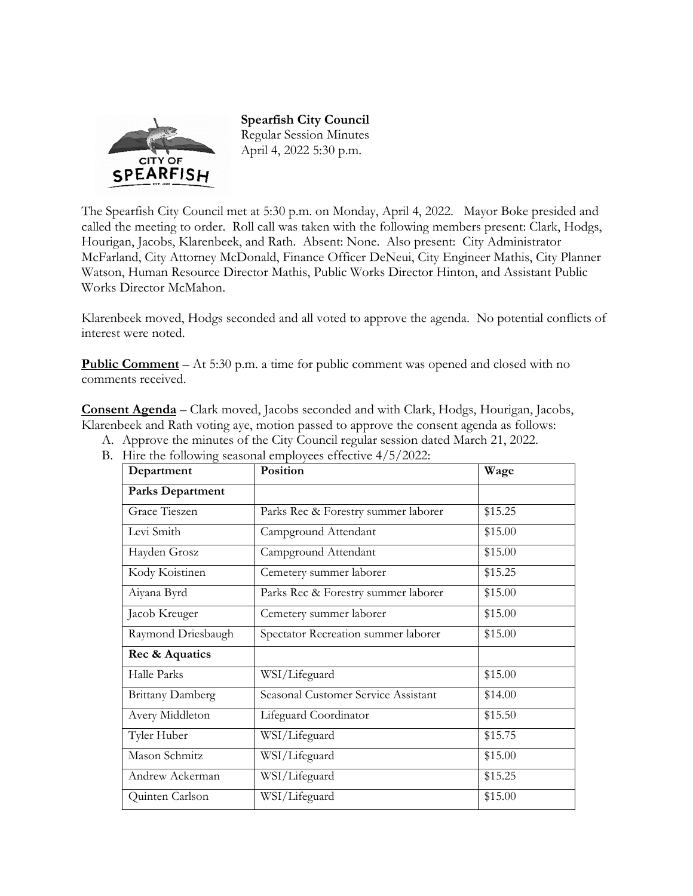

**Spearfish City Council**  Regular Session Minutes April 4, 2022 5:30 p.m.

The Spearfish City Council met at 5:30 p.m. on Monday, April 4, 2022. Mayor Boke presided and called the meeting to order. Roll call was taken with the following members present: Clark, Hodgs, Hourigan, Jacobs, Klarenbeek, and Rath. Absent: None. Also present: City Administrator McFarland, City Attorney McDonald, Finance Officer DeNeui, City Engineer Mathis, City Planner Watson, Human Resource Director Mathis, Public Works Director Hinton, and Assistant Public Works Director McMahon.

Klarenbeek moved, Hodgs seconded and all voted to approve the agenda. No potential conflicts of interest were noted.

**Public Comment** – At 5:30 p.m. a time for public comment was opened and closed with no comments received.

**Consent Agenda** – Clark moved, Jacobs seconded and with Clark, Hodgs, Hourigan, Jacobs, Klarenbeek and Rath voting aye, motion passed to approve the consent agenda as follows:

- A. Approve the minutes of the City Council regular session dated March 21, 2022.
- B. Hire the following seasonal employees effective 4/5/2022:

| Department              | Position                            | Wage    |  |
|-------------------------|-------------------------------------|---------|--|
| <b>Parks Department</b> |                                     |         |  |
| Grace Tieszen           | Parks Rec & Forestry summer laborer | \$15.25 |  |
| Levi Smith              | Campground Attendant                | \$15.00 |  |
| Hayden Grosz            | Campground Attendant                | \$15.00 |  |
| Kody Koistinen          | Cemetery summer laborer             | \$15.25 |  |
| Aiyana Byrd             | Parks Rec & Forestry summer laborer | \$15.00 |  |
| Jacob Kreuger           | Cemetery summer laborer             | \$15.00 |  |
| Raymond Driesbaugh      | Spectator Recreation summer laborer | \$15.00 |  |
| Rec & Aquatics          |                                     |         |  |
| Halle Parks             | WSI/Lifeguard                       | \$15.00 |  |
| <b>Brittany Damberg</b> | Seasonal Customer Service Assistant | \$14.00 |  |
| Avery Middleton         | Lifeguard Coordinator               | \$15.50 |  |
| Tyler Huber             | WSI/Lifeguard                       | \$15.75 |  |
| Mason Schmitz           | WSI/Lifeguard                       | \$15.00 |  |
| Andrew Ackerman         | WSI/Lifeguard                       | \$15.25 |  |
| Quinten Carlson         | WSI/Lifeguard                       | \$15.00 |  |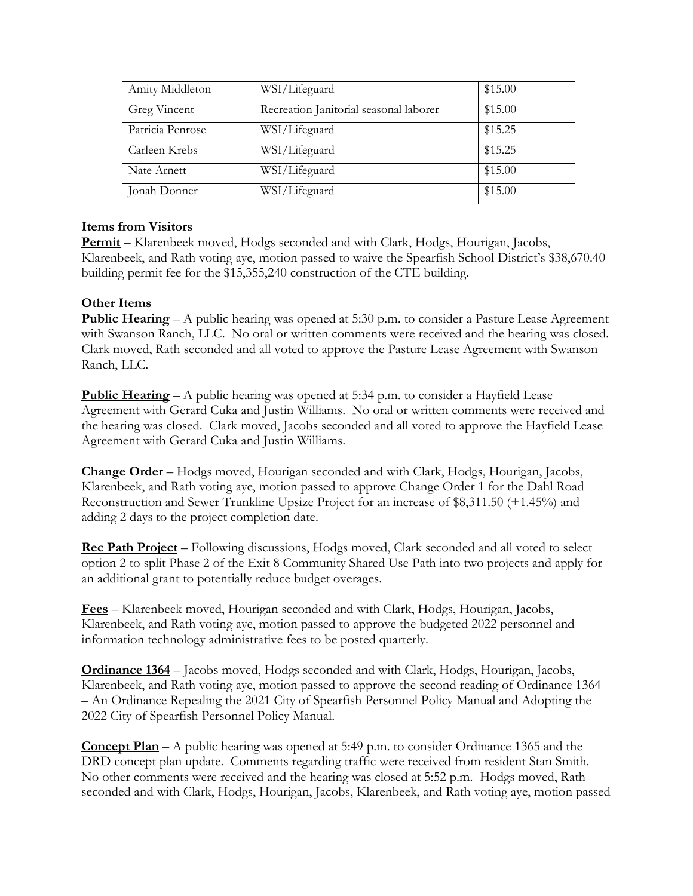| Amity Middleton  | WSI/Lifeguard                          | \$15.00 |
|------------------|----------------------------------------|---------|
| Greg Vincent     | Recreation Janitorial seasonal laborer | \$15.00 |
| Patricia Penrose | WSI/Lifeguard                          | \$15.25 |
| Carleen Krebs    | WSI/Lifeguard                          | \$15.25 |
| Nate Arnett      | WSI/Lifeguard                          | \$15.00 |
| Jonah Donner     | WSI/Lifeguard                          | \$15.00 |

# **Items from Visitors**

**Permit** – Klarenbeek moved, Hodgs seconded and with Clark, Hodgs, Hourigan, Jacobs, Klarenbeek, and Rath voting aye, motion passed to waive the Spearfish School District's \$38,670.40 building permit fee for the \$15,355,240 construction of the CTE building.

# **Other Items**

**Public Hearing** – A public hearing was opened at 5:30 p.m. to consider a Pasture Lease Agreement with Swanson Ranch, LLC. No oral or written comments were received and the hearing was closed. Clark moved, Rath seconded and all voted to approve the Pasture Lease Agreement with Swanson Ranch, LLC.

**Public Hearing** – A public hearing was opened at 5:34 p.m. to consider a Hayfield Lease Agreement with Gerard Cuka and Justin Williams. No oral or written comments were received and the hearing was closed. Clark moved, Jacobs seconded and all voted to approve the Hayfield Lease Agreement with Gerard Cuka and Justin Williams.

**Change Order** – Hodgs moved, Hourigan seconded and with Clark, Hodgs, Hourigan, Jacobs, Klarenbeek, and Rath voting aye, motion passed to approve Change Order 1 for the Dahl Road Reconstruction and Sewer Trunkline Upsize Project for an increase of \$8,311.50 (+1.45%) and adding 2 days to the project completion date.

**Rec Path Project** – Following discussions, Hodgs moved, Clark seconded and all voted to select option 2 to split Phase 2 of the Exit 8 Community Shared Use Path into two projects and apply for an additional grant to potentially reduce budget overages.

**Fees** – Klarenbeek moved, Hourigan seconded and with Clark, Hodgs, Hourigan, Jacobs, Klarenbeek, and Rath voting aye, motion passed to approve the budgeted 2022 personnel and information technology administrative fees to be posted quarterly.

**Ordinance 1364** – Jacobs moved, Hodgs seconded and with Clark, Hodgs, Hourigan, Jacobs, Klarenbeek, and Rath voting aye, motion passed to approve the second reading of Ordinance 1364 – An Ordinance Repealing the 2021 City of Spearfish Personnel Policy Manual and Adopting the 2022 City of Spearfish Personnel Policy Manual.

**Concept Plan** – A public hearing was opened at 5:49 p.m. to consider Ordinance 1365 and the DRD concept plan update. Comments regarding traffic were received from resident Stan Smith. No other comments were received and the hearing was closed at 5:52 p.m. Hodgs moved, Rath seconded and with Clark, Hodgs, Hourigan, Jacobs, Klarenbeek, and Rath voting aye, motion passed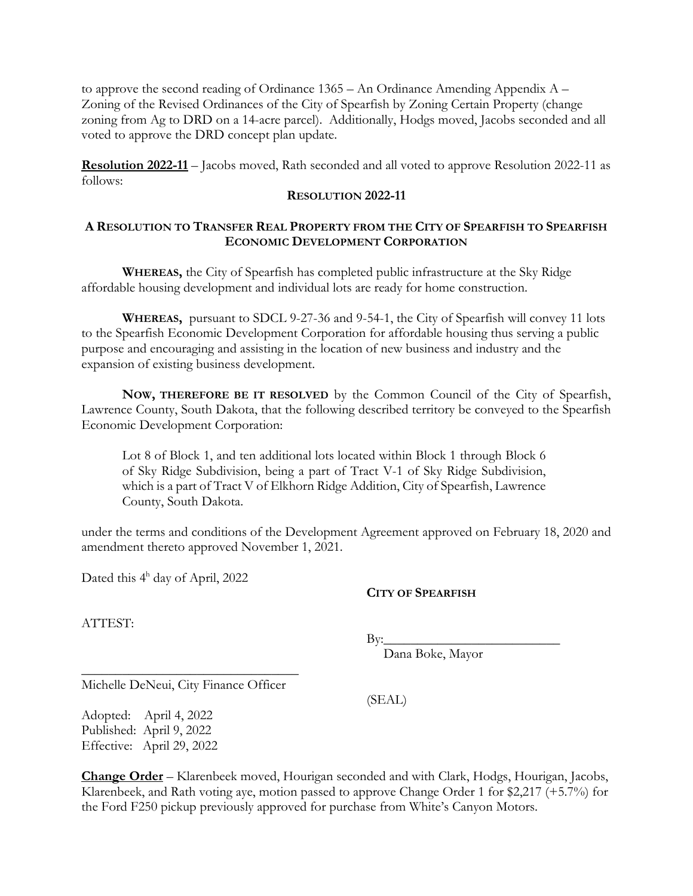to approve the second reading of Ordinance 1365 – An Ordinance Amending Appendix  $A -$ Zoning of the Revised Ordinances of the City of Spearfish by Zoning Certain Property (change zoning from Ag to DRD on a 14-acre parcel). Additionally, Hodgs moved, Jacobs seconded and all voted to approve the DRD concept plan update.

**Resolution 2022-11** – Jacobs moved, Rath seconded and all voted to approve Resolution 2022-11 as follows:

#### **RESOLUTION 2022-11**

### **A RESOLUTION TO TRANSFER REAL PROPERTY FROM THE CITY OF SPEARFISH TO SPEARFISH ECONOMIC DEVELOPMENT CORPORATION**

**WHEREAS,** the City of Spearfish has completed public infrastructure at the Sky Ridge affordable housing development and individual lots are ready for home construction.

**WHEREAS,** pursuant to SDCL 9-27-36 and 9-54-1, the City of Spearfish will convey 11 lots to the Spearfish Economic Development Corporation for affordable housing thus serving a public purpose and encouraging and assisting in the location of new business and industry and the expansion of existing business development.

**NOW, THEREFORE BE IT RESOLVED** by the Common Council of the City of Spearfish, Lawrence County, South Dakota, that the following described territory be conveyed to the Spearfish Economic Development Corporation:

Lot 8 of Block 1, and ten additional lots located within Block 1 through Block 6 of Sky Ridge Subdivision, being a part of Tract V-1 of Sky Ridge Subdivision, which is a part of Tract V of Elkhorn Ridge Addition, City of Spearfish, Lawrence County, South Dakota.

under the terms and conditions of the Development Agreement approved on February 18, 2020 and amendment thereto approved November 1, 2021.

Dated this 4<sup>h</sup> day of April, 2022

#### **CITY OF SPEARFISH**

ATTEST:

 $\rm\,By:$ 

(SEAL)

Dana Boke, Mayor

\_\_\_\_\_\_\_\_\_\_\_\_\_\_\_\_\_\_\_\_\_\_\_\_\_\_\_\_\_\_\_\_ Michelle DeNeui, City Finance Officer

Adopted: April 4, 2022 Published: April 9, 2022 Effective: April 29, 2022

**Change Order** – Klarenbeek moved, Hourigan seconded and with Clark, Hodgs, Hourigan, Jacobs, Klarenbeek, and Rath voting aye, motion passed to approve Change Order 1 for \$2,217 (+5.7%) for the Ford F250 pickup previously approved for purchase from White's Canyon Motors.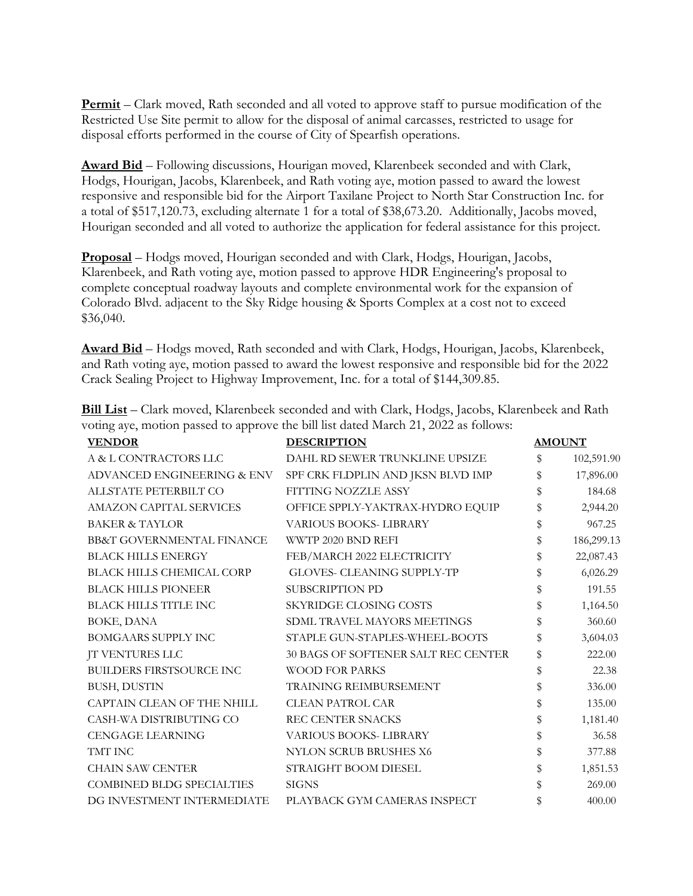**Permit** – Clark moved, Rath seconded and all voted to approve staff to pursue modification of the Restricted Use Site permit to allow for the disposal of animal carcasses, restricted to usage for disposal efforts performed in the course of City of Spearfish operations.

**Award Bid** – Following discussions, Hourigan moved, Klarenbeek seconded and with Clark, Hodgs, Hourigan, Jacobs, Klarenbeek, and Rath voting aye, motion passed to award the lowest responsive and responsible bid for the Airport Taxilane Project to North Star Construction Inc. for a total of \$517,120.73, excluding alternate 1 for a total of \$38,673.20. Additionally, Jacobs moved, Hourigan seconded and all voted to authorize the application for federal assistance for this project.

**Proposal** – Hodgs moved, Hourigan seconded and with Clark, Hodgs, Hourigan, Jacobs, Klarenbeek, and Rath voting aye, motion passed to approve HDR Engineering's proposal to complete conceptual roadway layouts and complete environmental work for the expansion of Colorado Blvd. adjacent to the Sky Ridge housing & Sports Complex at a cost not to exceed \$36,040.

**Award Bid** – Hodgs moved, Rath seconded and with Clark, Hodgs, Hourigan, Jacobs, Klarenbeek, and Rath voting aye, motion passed to award the lowest responsive and responsible bid for the 2022 Crack Sealing Project to Highway Improvement, Inc. for a total of \$144,309.85.

| TTIIDAD | <b>DRAQDIDTION</b>                                                                                     | $\mathbf{A}$ <b>EXECUTE</b> |
|---------|--------------------------------------------------------------------------------------------------------|-----------------------------|
|         | voting aye, motion passed to approve the bill list dated March 21, 2022 as follows:                    |                             |
|         | <b>Bill List</b> – Clark moved, Klarenbeek seconded and with Clark, Hodgs, Jacobs, Klarenbeek and Rath |                             |

| <b>VENDOR</b>                        | <b>DESCRIPTION</b>                  | <b>AMOUNT</b>    |
|--------------------------------------|-------------------------------------|------------------|
| A & L CONTRACTORS LLC                | DAHL RD SEWER TRUNKLINE UPSIZE      | \$<br>102,591.90 |
| ADVANCED ENGINEERING & ENV           | SPF CRK FLDPLIN AND JKSN BLVD IMP   | \$<br>17,896.00  |
| ALLSTATE PETERBILT CO                | FITTING NOZZLE ASSY                 | \$<br>184.68     |
| AMAZON CAPITAL SERVICES              | OFFICE SPPLY-YAKTRAX-HYDRO EQUIP    | \$<br>2,944.20   |
| <b>BAKER &amp; TAYLOR</b>            | <b>VARIOUS BOOKS- LIBRARY</b>       | \$<br>967.25     |
| <b>BB&amp;T GOVERNMENTAL FINANCE</b> | WWTP 2020 BND REFI                  | \$<br>186,299.13 |
| <b>BLACK HILLS ENERGY</b>            | FEB/MARCH 2022 ELECTRICITY          | \$<br>22,087.43  |
| BLACK HILLS CHEMICAL CORP            | GLOVES- CLEANING SUPPLY-TP          | \$<br>6,026.29   |
| <b>BLACK HILLS PIONEER</b>           | SUBSCRIPTION PD                     | \$<br>191.55     |
| BLACK HILLS TITLE INC                | <b>SKYRIDGE CLOSING COSTS</b>       | \$<br>1,164.50   |
| BOKE, DANA                           | SDML TRAVEL MAYORS MEETINGS         | \$<br>360.60     |
| <b>BOMGAARS SUPPLY INC</b>           | STAPLE GUN-STAPLES-WHEEL-BOOTS      | \$<br>3,604.03   |
| <b>JT VENTURES LLC</b>               | 30 BAGS OF SOFTENER SALT REC CENTER | \$<br>222.00     |
| <b>BUILDERS FIRSTSOURCE INC</b>      | <b>WOOD FOR PARKS</b>               | \$<br>22.38      |
| BUSH, DUSTIN                         | TRAINING REIMBURSEMENT              | \$<br>336.00     |
| CAPTAIN CLEAN OF THE NHILL           | <b>CLEAN PATROL CAR</b>             | \$<br>135.00     |
| CASH-WA DISTRIBUTING CO              | REC CENTER SNACKS                   | \$<br>1,181.40   |
| <b>CENGAGE LEARNING</b>              | VARIOUS BOOKS- LIBRARY              | \$<br>36.58      |
| TMT INC                              | NYLON SCRUB BRUSHES X6              | \$<br>377.88     |
| <b>CHAIN SAW CENTER</b>              | STRAIGHT BOOM DIESEL                | \$<br>1,851.53   |
| <b>COMBINED BLDG SPECIALTIES</b>     | <b>SIGNS</b>                        | \$<br>269.00     |
| DG INVESTMENT INTERMEDIATE           | PLAYBACK GYM CAMERAS INSPECT        | \$<br>400.00     |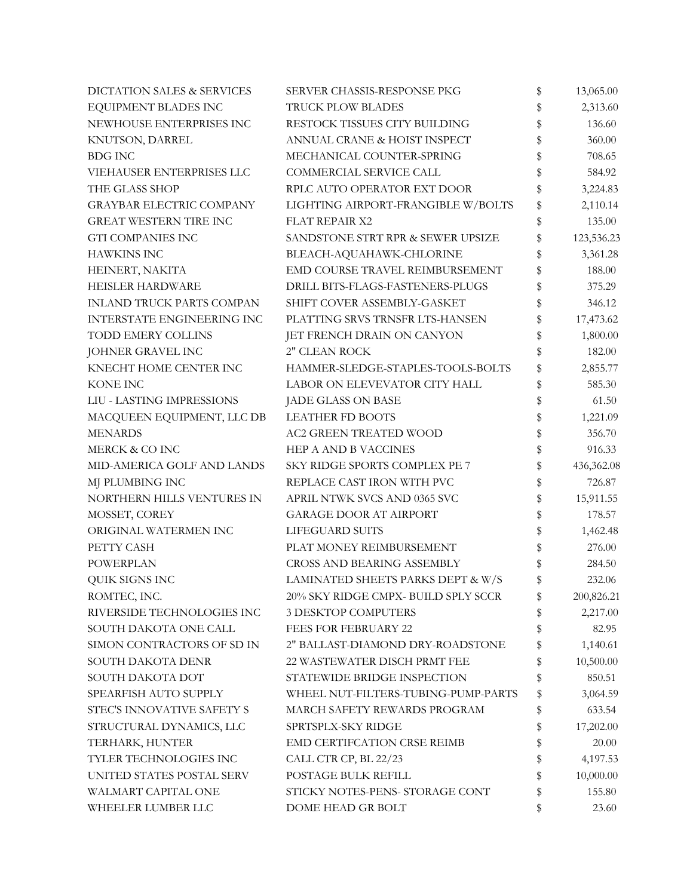| DICTATION SALES & SERVICES<br>SERVER CHASSIS-RESPONSE PKG |                                     | \$ | 13,065.00  |
|-----------------------------------------------------------|-------------------------------------|----|------------|
| EQUIPMENT BLADES INC                                      | TRUCK PLOW BLADES                   |    | 2,313.60   |
| NEWHOUSE ENTERPRISES INC                                  | RESTOCK TISSUES CITY BUILDING       | \$ | 136.60     |
| KNUTSON, DARREL                                           | ANNUAL CRANE & HOIST INSPECT        | \$ | 360.00     |
| <b>BDG INC</b>                                            | MECHANICAL COUNTER-SPRING           | \$ | 708.65     |
| VIEHAUSER ENTERPRISES LLC                                 | COMMERCIAL SERVICE CALL             | \$ | 584.92     |
| THE GLASS SHOP                                            | RPLC AUTO OPERATOR EXT DOOR         | \$ | 3,224.83   |
| <b>GRAYBAR ELECTRIC COMPANY</b>                           | LIGHTING AIRPORT-FRANGIBLE W/BOLTS  | \$ | 2,110.14   |
| GREAT WESTERN TIRE INC                                    | <b>FLAT REPAIR X2</b>               | \$ | 135.00     |
| <b>GTI COMPANIES INC</b>                                  | SANDSTONE STRT RPR & SEWER UPSIZE   | \$ | 123,536.23 |
| <b>HAWKINS INC</b>                                        | BLEACH-AQUAHAWK-CHLORINE            | \$ | 3,361.28   |
| HEINERT, NAKITA                                           | EMD COURSE TRAVEL REIMBURSEMENT     | \$ | 188.00     |
| HEISLER HARDWARE                                          | DRILL BITS-FLAGS-FASTENERS-PLUGS    | \$ | 375.29     |
| <b>INLAND TRUCK PARTS COMPAN</b>                          | SHIFT COVER ASSEMBLY-GASKET         | \$ | 346.12     |
| INTERSTATE ENGINEERING INC                                | PLATTING SRVS TRNSFR LTS-HANSEN     | \$ | 17,473.62  |
| <b>TODD EMERY COLLINS</b>                                 | JET FRENCH DRAIN ON CANYON          | \$ | 1,800.00   |
| JOHNER GRAVEL INC                                         | 2" CLEAN ROCK                       | \$ | 182.00     |
| KNECHT HOME CENTER INC                                    | HAMMER-SLEDGE-STAPLES-TOOLS-BOLTS   | \$ | 2,855.77   |
| KONE INC                                                  | LABOR ON ELEVEVATOR CITY HALL       | \$ | 585.30     |
| LIU - LASTING IMPRESSIONS                                 | <b>JADE GLASS ON BASE</b>           | \$ | 61.50      |
| MACQUEEN EQUIPMENT, LLC DB                                | <b>LEATHER FD BOOTS</b>             | \$ | 1,221.09   |
| <b>MENARDS</b>                                            | <b>AC2 GREEN TREATED WOOD</b>       | \$ | 356.70     |
| MERCK & CO INC                                            | HEP A AND B VACCINES                | \$ | 916.33     |
| MID-AMERICA GOLF AND LANDS                                | SKY RIDGE SPORTS COMPLEX PE 7       | \$ | 436,362.08 |
| MJ PLUMBING INC                                           | REPLACE CAST IRON WITH PVC          | \$ | 726.87     |
| NORTHERN HILLS VENTURES IN                                | APRIL NTWK SVCS AND 0365 SVC        | \$ | 15,911.55  |
| MOSSET, COREY                                             | <b>GARAGE DOOR AT AIRPORT</b>       | \$ | 178.57     |
| ORIGINAL WATERMEN INC                                     | LIFEGUARD SUITS                     | \$ | 1,462.48   |
| PETTY CASH                                                | PLAT MONEY REIMBURSEMENT            | \$ | 276.00     |
| <b>POWERPLAN</b>                                          | <b>CROSS AND BEARING ASSEMBLY</b>   | \$ | 284.50     |
| QUIK SIGNS INC                                            | LAMINATED SHEETS PARKS DEPT & W/S   | \$ | 232.06     |
| ROMTEC, INC.                                              | 20% SKY RIDGE CMPX- BUILD SPLY SCCR | Ş  | 200,826.21 |
| RIVERSIDE TECHNOLOGIES INC                                | <b>3 DESKTOP COMPUTERS</b>          | \$ | 2,217.00   |
| SOUTH DAKOTA ONE CALL                                     | <b>FEES FOR FEBRUARY 22</b>         | \$ | 82.95      |
| SIMON CONTRACTORS OF SD IN                                | 2" BALLAST-DIAMOND DRY-ROADSTONE    | \$ | 1,140.61   |
| SOUTH DAKOTA DENR                                         | 22 WASTEWATER DISCH PRMT FEE        | \$ | 10,500.00  |
| SOUTH DAKOTA DOT                                          | STATEWIDE BRIDGE INSPECTION         | \$ | 850.51     |
| SPEARFISH AUTO SUPPLY                                     | WHEEL NUT-FILTERS-TUBING-PUMP-PARTS | \$ | 3,064.59   |
| STEC'S INNOVATIVE SAFETY S                                | MARCH SAFETY REWARDS PROGRAM        | \$ | 633.54     |
| STRUCTURAL DYNAMICS, LLC                                  | SPRTSPLX-SKY RIDGE                  | \$ | 17,202.00  |
| TERHARK, HUNTER                                           | EMD CERTIFCATION CRSE REIMB         | \$ | 20.00      |
| TYLER TECHNOLOGIES INC                                    | CALL CTR CP, BL 22/23               | \$ | 4,197.53   |
| UNITED STATES POSTAL SERV                                 | POSTAGE BULK REFILL                 |    | 10,000.00  |
| WALMART CAPITAL ONE                                       | STICKY NOTES-PENS- STORAGE CONT     | \$ | 155.80     |
| WHEELER LUMBER LLC                                        | DOME HEAD GR BOLT                   | \$ | 23.60      |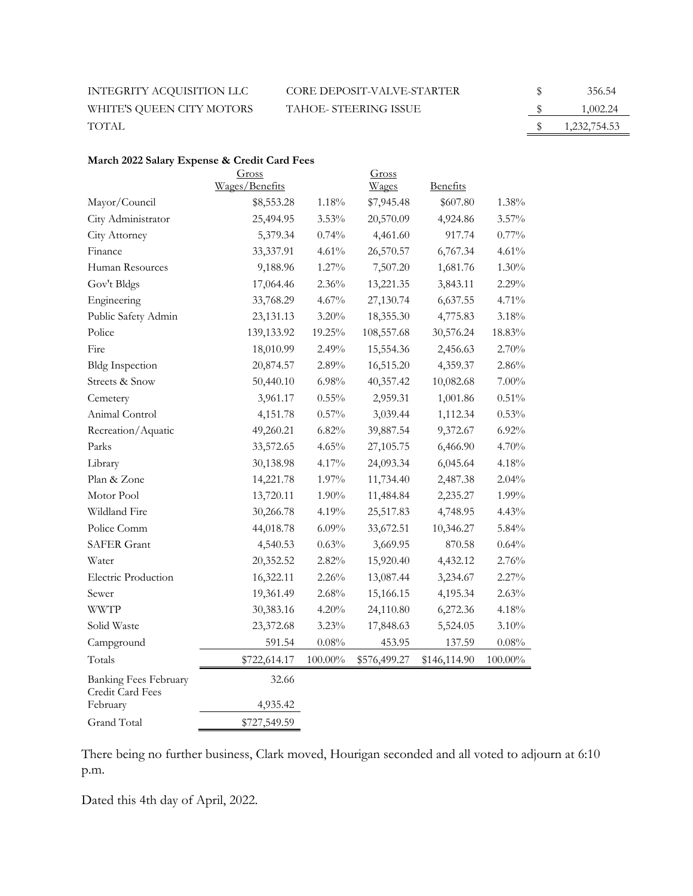INTEGRITY ACQUISITION LLC  $\hfill \begin{array}{r} \text{CORE DEPOSITION} \end{array}$ WHITE'S QUEEN CITY MOTORS TAHOE- STEERING ISSUE TOTAL  $\qquad \qquad \text{5} \qquad \qquad 1,232,754.53$ 

| \$ | 356.54       |
|----|--------------|
| \$ | 1,002.24     |
| S  | 1,232,754.53 |

# **March 2022 Salary Expense & Credit Card Fees**

|                                                  | Gross<br>Wages/Benefits |            | Gross<br>Wages | <b>Benefits</b> |            |
|--------------------------------------------------|-------------------------|------------|----------------|-----------------|------------|
| Mayor/Council                                    | \$8,553.28              | 1.18%      | \$7,945.48     | \$607.80        | 1.38%      |
| City Administrator                               | 25,494.95               | 3.53%      | 20,570.09      | 4,924.86        | $3.57\%$   |
| City Attorney                                    | 5,379.34                | 0.74%      | 4,461.60       | 917.74          | $0.77\%$   |
| Finance                                          | 33,337.91               | 4.61%      | 26,570.57      | 6,767.34        | 4.61%      |
| Human Resources                                  | 9,188.96                | $1.27\%$   | 7,507.20       | 1,681.76        | $1.30\%$   |
| Gov't Bldgs                                      | 17,064.46               | $2.36\%$   | 13,221.35      | 3,843.11        | 2.29%      |
| Engineering                                      | 33,768.29               | 4.67%      | 27,130.74      | 6,637.55        | 4.71%      |
| Public Safety Admin                              | 23,131.13               | $3.20\%$   | 18,355.30      | 4,775.83        | 3.18%      |
| Police                                           | 139,133.92              | 19.25%     | 108,557.68     | 30,576.24       | 18.83%     |
| Fire                                             | 18,010.99               | 2.49%      | 15,554.36      | 2,456.63        | 2.70%      |
| <b>Bldg Inspection</b>                           | 20,874.57               | 2.89%      | 16,515.20      | 4,359.37        | 2.86%      |
| Streets & Snow                                   | 50,440.10               | 6.98%      | 40,357.42      | 10,082.68       | $7.00\%$   |
| Cemetery                                         | 3,961.17                | $0.55\%$   | 2,959.31       | 1,001.86        | $0.51\%$   |
| Animal Control                                   | 4,151.78                | $0.57\%$   | 3,039.44       | 1,112.34        | 0.53%      |
| Recreation/Aquatic                               | 49,260.21               | 6.82%      | 39,887.54      | 9,372.67        | 6.92%      |
| Parks                                            | 33,572.65               | 4.65%      | 27,105.75      | 6,466.90        | 4.70%      |
| Library                                          | 30,138.98               | 4.17%      | 24,093.34      | 6,045.64        | 4.18%      |
| Plan & Zone                                      | 14,221.78               | 1.97%      | 11,734.40      | 2,487.38        | 2.04%      |
| Motor Pool                                       | 13,720.11               | 1.90%      | 11,484.84      | 2,235.27        | 1.99%      |
| Wildland Fire                                    | 30,266.78               | 4.19%      | 25,517.83      | 4,748.95        | 4.43%      |
| Police Comm                                      | 44,018.78               | 6.09%      | 33,672.51      | 10,346.27       | $5.84\%$   |
| <b>SAFER Grant</b>                               | 4,540.53                | 0.63%      | 3,669.95       | 870.58          | $0.64\%$   |
| Water                                            | 20,352.52               | $2.82\%$   | 15,920.40      | 4,432.12        | 2.76%      |
| Electric Production                              | 16,322.11               | 2.26%      | 13,087.44      | 3,234.67        | 2.27%      |
| Sewer                                            | 19,361.49               | 2.68%      | 15,166.15      | 4,195.34        | 2.63%      |
| <b>WWTP</b>                                      | 30,383.16               | 4.20%      | 24,110.80      | 6,272.36        | 4.18%      |
| Solid Waste                                      | 23,372.68               | 3.23%      | 17,848.63      | 5,524.05        | 3.10%      |
| Campground                                       | 591.54                  | 0.08%      | 453.95         | 137.59          | 0.08%      |
| Totals                                           | \$722,614.17            | $100.00\%$ | \$576,499.27   | \$146,114.90    | $100.00\%$ |
| <b>Banking Fees February</b><br>Credit Card Fees | 32.66                   |            |                |                 |            |
| February                                         | 4,935.42                |            |                |                 |            |
| <b>Grand Total</b>                               | \$727,549.59            |            |                |                 |            |

There being no further business, Clark moved, Hourigan seconded and all voted to adjourn at 6:10 p.m.

Dated this 4th day of April, 2022.